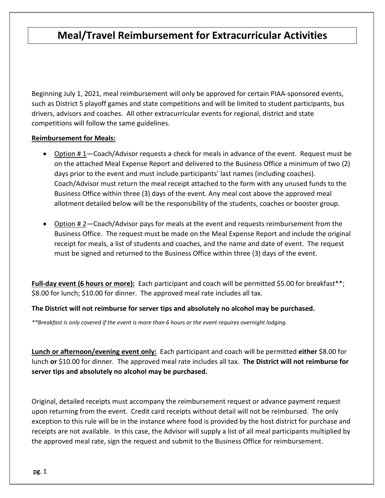# **Meal/Travel Reimbursement for Extracurricular Activities**

Beginning July 1, 2021, meal reimbursement will only be approved for certain PIAA-sponsored events, such as District 5 playoff games and state competitions and will be limited to student participants, bus drivers, advisors and coaches. All other extracurricular events for regional, district and state competitions will follow the same guidelines.

### **Reimbursement for Meals:**

- Option # 1—Coach/Advisor requests a check for meals in advance of the event. Request must be on the attached Meal Expense Report and delivered to the Business Office a minimum of two (2) days prior to the event and must include participants' last names (including coaches). Coach/Advisor must return the meal receipt attached to the form with any unused funds to the Business Office within three (3) days of the event. Any meal cost above the approved meal allotment detailed below will be the responsibility of the students, coaches or booster group.
- Option #2—Coach/Advisor pays for meals at the event and requests reimbursement from the Business Office. The request must be made on the Meal Expense Report and include the original receipt for meals, a list of students and coaches, and the name and date of event. The request must be signed and returned to the Business Office within three (3) days of the event.

Full-day event (6 hours or more): Each participant and coach will be permitted \$5.00 for breakfast<sup>\*\*</sup>; \$8.00 for lunch; \$10.00 for dinner. The approved meal rate includes all tax.

**The District will not reimburse for server tips and absolutely no alcohol may be purchased.**

*\*\*Breakfast is only covered if the event is more than 6 hours or the event requires overnight lodging.*

**Lunch or afternoon/evening event only:** Each participant and coach will be permitted **either** \$8.00 for lunch **or** \$10.00 for dinner. The approved meal rate includes all tax. **The District will not reimburse for server tips and absolutely no alcohol may be purchased.**

Original, detailed receipts must accompany the reimbursement request or advance payment request upon returning from the event. Credit card receipts without detail will not be reimbursed. The only exception to this rule will be in the instance where food is provided by the host district for purchase and receipts are not available. In this case, the Advisor will supply a list of all meal participants multiplied by the approved meal rate, sign the request and submit to the Business Office for reimbursement.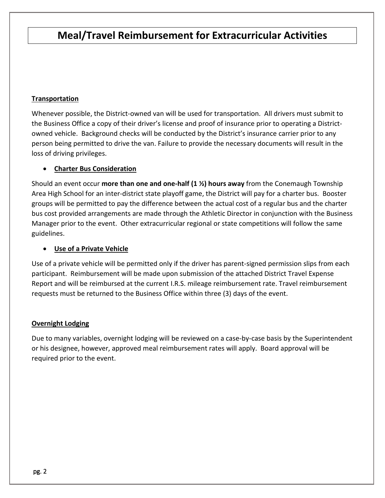# **Meal/Travel Reimbursement for Extracurricular Activities**

## **Transportation**

Whenever possible, the District-owned van will be used for transportation. All drivers must submit to the Business Office a copy of their driver's license and proof of insurance prior to operating a Districtowned vehicle. Background checks will be conducted by the District's insurance carrier prior to any person being permitted to drive the van. Failure to provide the necessary documents will result in the loss of driving privileges.

### • **Charter Bus Consideration**

Should an event occur **more than one and one-half (1 ½) hours away** from the Conemaugh Township Area High School for an inter-district state playoff game, the District will pay for a charter bus. Booster groups will be permitted to pay the difference between the actual cost of a regular bus and the charter bus cost provided arrangements are made through the Athletic Director in conjunction with the Business Manager prior to the event. Other extracurricular regional or state competitions will follow the same guidelines.

## • **Use of a Private Vehicle**

Use of a private vehicle will be permitted only if the driver has parent-signed permission slips from each participant. Reimbursement will be made upon submission of the attached District Travel Expense Report and will be reimbursed at the current I.R.S. mileage reimbursement rate. Travel reimbursement requests must be returned to the Business Office within three (3) days of the event.

#### **Overnight Lodging**

Due to many variables, overnight lodging will be reviewed on a case-by-case basis by the Superintendent or his designee, however, approved meal reimbursement rates will apply. Board approval will be required prior to the event.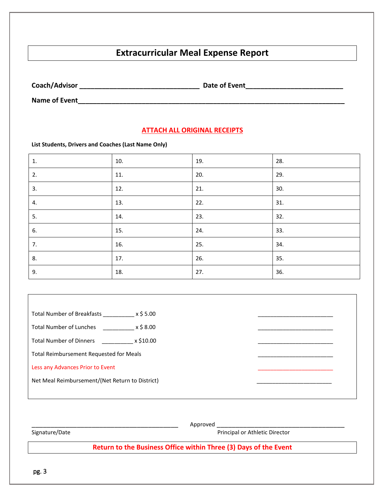# **Extracurricular Meal Expense Report**

**Coach/Advisor \_\_\_\_\_\_\_\_\_\_\_\_\_\_\_\_\_\_\_\_\_\_\_\_\_\_\_\_\_\_\_\_ Date of Event\_\_\_\_\_\_\_\_\_\_\_\_\_\_\_\_\_\_\_\_\_\_\_\_\_\_**

**Name of Event\_\_\_\_\_\_\_\_\_\_\_\_\_\_\_\_\_\_\_\_\_\_\_\_\_\_\_\_\_\_\_\_\_\_\_\_\_\_\_\_\_\_\_\_\_\_\_\_\_\_\_\_\_\_\_\_\_\_\_\_\_\_\_\_\_\_\_\_\_\_\_**

#### **ATTACH ALL ORIGINAL RECEIPTS**

**List Students, Drivers and Coaches (Last Name Only)**

| $\mathbf{1}$ . | 10. | 19. | 28. |
|----------------|-----|-----|-----|
| 2.             | 11. | 20. | 29. |
| 3.             | 12. | 21. | 30. |
| 4.             | 13. | 22. | 31. |
| 5.             | 14. | 23. | 32. |
| 6.             | 15. | 24. | 33. |
| 7.             | 16. | 25. | 34. |
| 8.             | 17. | 26. | 35. |
| 9.             | 18. | 27. | 36. |

| Total Number of Breakfasts x \$5.00             |  |  |
|-------------------------------------------------|--|--|
| x \$ 8.00<br><b>Total Number of Lunches</b>     |  |  |
|                                                 |  |  |
| <b>Total Number of Dinners</b><br>x \$10.00     |  |  |
| Total Reimbursement Requested for Meals         |  |  |
| Less any Advances Prior to Event                |  |  |
| Net Meal Reimbursement/(Net Return to District) |  |  |
|                                                 |  |  |

Signature/Date Approved Approved Principal or Athletic Director Principal or Athletic Director Principal or Athletic Director

**Return to the Business Office within Three (3) Days of the Event**